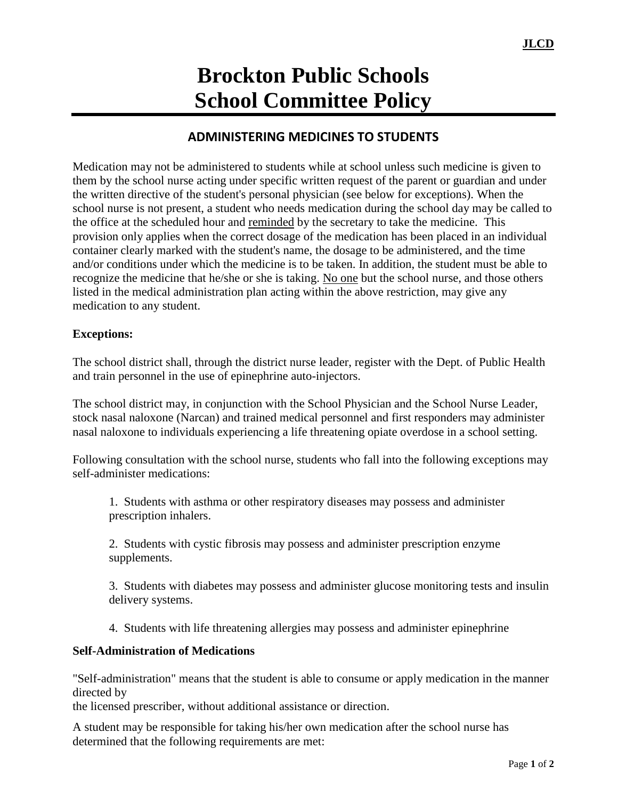## **Brockton Public Schools School Committee Policy**

## **ADMINISTERING MEDICINES TO STUDENTS**

Medication may not be administered to students while at school unless such medicine is given to them by the school nurse acting under specific written request of the parent or guardian and under the written directive of the student's personal physician (see below for exceptions). When the school nurse is not present, a student who needs medication during the school day may be called to the office at the scheduled hour and reminded by the secretary to take the medicine. This provision only applies when the correct dosage of the medication has been placed in an individual container clearly marked with the student's name, the dosage to be administered, and the time and/or conditions under which the medicine is to be taken. In addition, the student must be able to recognize the medicine that he/she or she is taking. No one but the school nurse, and those others listed in the medical administration plan acting within the above restriction, may give any medication to any student.

## **Exceptions:**

The school district shall, through the district nurse leader, register with the Dept. of Public Health and train personnel in the use of epinephrine auto-injectors.

The school district may, in conjunction with the School Physician and the School Nurse Leader, stock nasal naloxone (Narcan) and trained medical personnel and first responders may administer nasal naloxone to individuals experiencing a life threatening opiate overdose in a school setting.

Following consultation with the school nurse, students who fall into the following exceptions may self-administer medications:

1. Students with asthma or other respiratory diseases may possess and administer prescription inhalers.

2. Students with cystic fibrosis may possess and administer prescription enzyme supplements.

3. Students with diabetes may possess and administer glucose monitoring tests and insulin delivery systems.

4. Students with life threatening allergies may possess and administer epinephrine

## **Self-Administration of Medications**

"Self-administration" means that the student is able to consume or apply medication in the manner directed by

the licensed prescriber, without additional assistance or direction.

A student may be responsible for taking his/her own medication after the school nurse has determined that the following requirements are met: